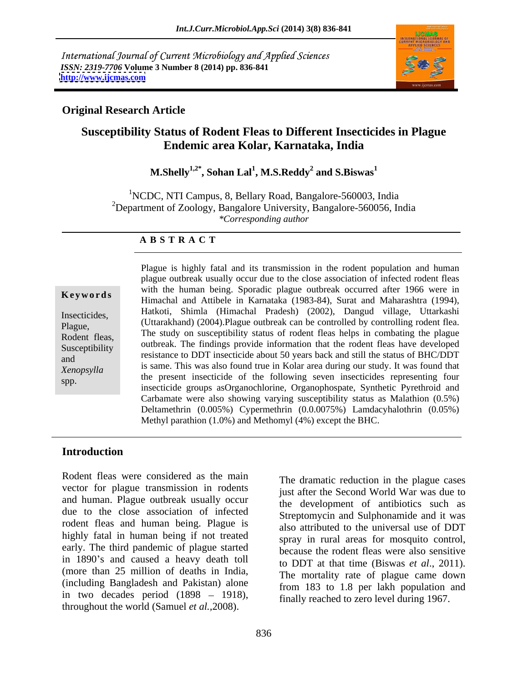International Journal of Current Microbiology and Applied Sciences *ISSN: 2319-7706* **Volume 3 Number 8 (2014) pp. 836-841 <http://www.ijcmas.com>**



### **Original Research Article**

## **Susceptibility Status of Rodent Fleas to Different Insecticides in Plague Endemic area Kolar, Karnataka, India**

#### **M.Shelly1,2\* , Sohan Lal<sup>1</sup> , M.S.Reddy<sup>2</sup> and S.Biswas<sup>1</sup>**

1NCDC, NTI Campus, 8, Bellary Road, Bangalore-560003, India <sup>2</sup>Department of Zoology, Bangalore University, Bangalore-560056, India *\*Corresponding author* 

#### **A B S T R A C T**

**Keywords** Will the human being. Sporadic plague buttled at the 1900 were in Himachal and Attibele in Karnataka (1983-84), Surat and Maharashtra (1994), Insecticides, Francisco Maria (Finnacinal Francisco (2002), Dangua vinage, Ottainasin Plague, (Uttarakhand) (2004).Plague outbreak can be controlled by controlling rodent flea. Rodent fleas, The study on susceptibility status of rodent fleas helps in combating the plague Rodent fleas, Susceptibility outbreak. The findings provide information that the rodent fleas have developed<br>Susceptibility resistance to DDT insecticide about 50 years back and still the status of BHC/DDT resistance to DDT insecticide about 50 years back and still the status of BHC/DDT *Xenopsylla* is same. This was also found the in Notar area during our study. It was found that the present insecticide of the following seven insecticides representing four<br>spp. Plague is highly fatal and its transmission in the rodent population and human plague outbreak usually occur due to the close association of infected rodent fleas with the human being. Sporadic plague outbreak occurred after 1966 were in Hatkoti, Shimla (Himachal Pradesh) (2002), Dangud village, Uttarkashi is same. This was also found true in Kolar area during our study.It was found that insecticide groups asOrganochlorine, Organophospate, Synthetic Pyrethroid and Carbamate were also showing varying susceptibility status as Malathion (0.5%) Deltamethrin (0.005%) Cypermethrin (0.0.0075%) Lamdacyhalothrin (0.05%) Methyl parathion (1.0%) and Methomyl (4%) except the BHC.

### **Introduction**

Rodent fleas were considered as the main vector for plague transmission in rodents and human. Plague outbreak usually occur due to the close association of infected rodent fleas and human being. Plague is highly fatal in human being if not treated early. The third pandemic of plague started in 1890's and caused a heavy death toll (more than 25 million of deaths in India, (including Bangladesh and Pakistan) alone in two decades period  $(1898 - 1918)$ , throughout the world (Samuel *et al.,*2008).

The dramatic reduction in the plague cases just after the Second World War was due to the development of antibiotics such as Streptomycin and Sulphonamide and it was also attributed to the universal use of DDT spray in rural areas for mosquito control, because the rodent fleas were also sensitive to DDT at that time (Biswas *et al*., 2011). The mortality rate of plague came down from 183 to 1.8 per lakh population and finally reached to zero level during 1967.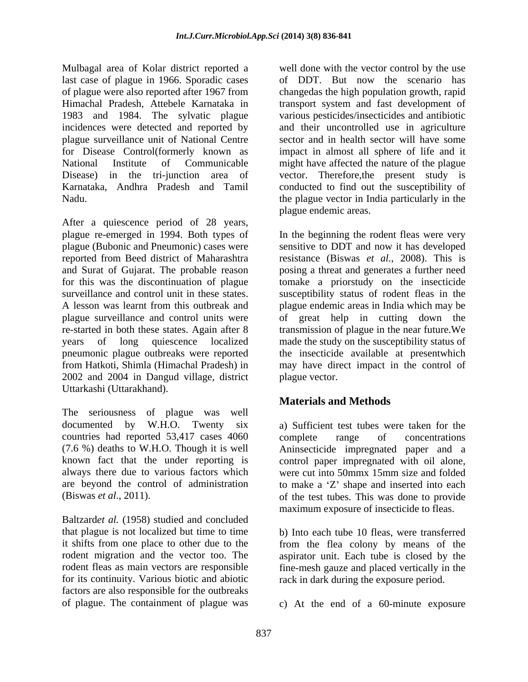Mulbagal area of Kolar district reported a well done with the vector control by the use last case of plague in 1966. Sporadic cases of plague were also reported after 1967 from changedas the high population growth, rapid Himachal Pradesh, Attebele Karnataka in transport system and fast development of 1983 and 1984. The sylvatic plague various pesticides/insecticides and antibiotic incidences were detected and reported by and their uncontrolled use in agriculture plague surveillance unit of National Centre sector and in health sector will have some for Disease Control(formerly known as impact in almost all sphere of life and it National Institute of Communicable might have affected the nature of the plague Disease) in the tri-junction area of vector. Therefore,the present study is Karnataka, Andhra Pradesh and Tamil conducted to find out the susceptibility of Nadu. the plague vector in India particularly in the

After a quiescence period of 28 years, plague re-emerged in 1994. Both types of plague (Bubonic and Pneumonic) cases were sensitive to DDT and now it has developed reported from Beed district of Maharashtra and Surat of Gujarat. The probable reason posing a threat and generates a further need for this was the discontinuation of plague tomake a priorstudy on the insecticide surveillance and control unit in these states. susceptibility status of rodent fleas in the A lesson was learnt from this outbreak and plague endemic areas in India which may be plague surveillance and control units were of great help in cutting down the re-started in both these states. Again after 8 transmission of plague in the near future.We years of long quiescence localized made the study on the susceptibility status of pneumonic plague outbreaks were reported the insecticide available at presentwhich from Hatkoti, Shimla (Himachal Pradesh) in may have direct impact in the control of 2002 and 2004 in Dangud village, district Uttarkashi (Uttarakhand).

The seriousness of plague was well documented by W.H.O. Twenty six a) Sufficient test tubes were taken for the countries had reported 53,417 cases 4060 complete range of concentrations (7.6 %) deaths to W.H.O. Though it is well Aninsecticide impregnated paper and a known fact that the under reporting is control paper impregnated with oil alone, always there due to various factors which were cut into 50mmx 15mm size and folded are beyond the control of administration to make a 'Z' shape and inserted into each

Baltzard*et al.* (1958) studied and concluded that plague is not localized but time to time b) Into each tube 10 fleas, were transferred it shifts from one place to other due to the from the flea colony by means of the rodent migration and the vector too. The aspirator unit. Each tube is closed by the rodent fleas as main vectors are responsible fine-mesh gauze and placed vertically in the for its continuity. Various biotic and abiotic rack in dark during the exposure period. factors are also responsible for the outbreaks

of DDT. But now the scenario has plague endemic areas.

In the beginning the rodent fleas were very resistance (Biswas *et al.*, 2008). This is plague vector.

# **Materials and Methods**

(Biswas *et al*., 2011). of the test tubes. This was done to provide complete range of concentrations maximum exposure of insecticide to fleas.

of plague. The containment of plague was c) At the end of a 60-minute exposure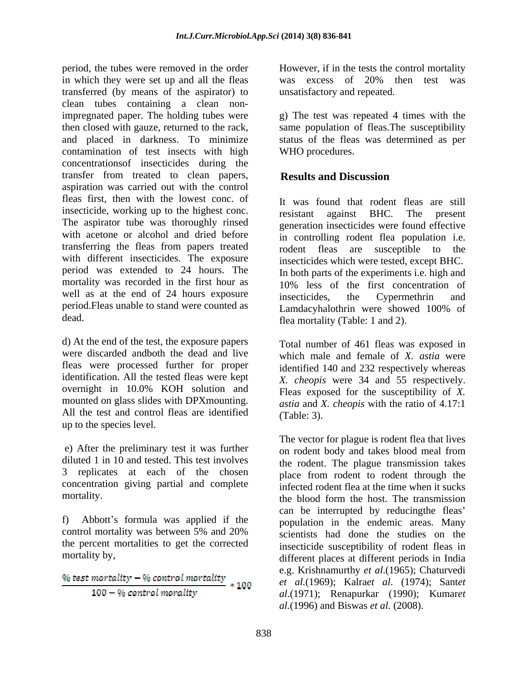period, the tubes were removed in the order However, if in the tests the control mortality in which they were set up and all the fleas was excess of 20% then test was transferred (by means of the aspirator) to clean tubes containing a clean nonimpregnated paper. The holding tubes were g) The test was repeated 4 times with the then closed with gauze, returned to the rack, and placed in darkness. To minimize status of the fleas was determined as per contamination of test insects with high concentrationsof insecticides during the transfer from treated to clean papers, **Results and Discussion** aspiration was carried out with the control fleas first, then with the lowest conc. of insecticide, working up to the highest conc. <br>resistant against BHC. The present The aspirator tube was thoroughly rinsed with acetone or alcohol and dried before in controlling rodent flea population i.e. transferring the fleas from papers treated rodent fleas are susceptible to the with different insecticides. The exposure period was extended to 24 hours. The In both parts of the experiments i.e. high and mortality was recorded in the first hour as well as at the end of 24 hours exposure insecticides, the Cypermethrin and period.Fleas unable to stand were counted as <br>Lamdacyhalothrin were showed 100% of

d) At the end of the test, the exposure papers were discarded andboth the dead and live fleas were processed further for proper identification. All the tested fleas were kept *X. cheopis* were 34 and 55 respectively. overnight in 10.0% KOH solution and  $\overline{F}$  Fleas exposed for the susceptibility of X mounted on glass slides with DPXmounting. All the test and control fleas are identified (Table: 3). up to the species level.

concentration giving partial and complete

the percent mortalities to get the corrected

$$
\frac{\frac{96 \text{ test mortality} - 96 \text{ control mortality}}{100 - 96 \text{ control mortality}}}{100}
$$

was excess of 20% then test was unsatisfactory and repeated.

same population of fleas.The susceptibility WHO procedures.

# **Results and Discussion**

dead. **Flea mortality (Table: 1 and 2). flea** mortality (Table: 1 and 2). It was found that rodent fleas are still resistant against BHC. The present generation insecticides were found effective rodent fleas are susceptible to insecticides which were tested, except BHC. 10% less of the first concentration of insecticides, the Cypermethrin and Lamdacyhalothrin were showed 100% of

> Total number of 461 fleas was exposed in which male and female of *X. astia* were identified 140 and 232 respectively whereas Fleas exposed for the susceptibility of *X. astia* and *X. cheopis* with the ratio of 4.17:1 (Table: 3).

e) After the preliminary test it was further on rodent body and takes blood meal from diluted 1 in 10 and tested. This test involves the rodent. The plague transmission takes 3 replicates at each of the chosen place from rodent to rodent through the mortality. the blood form the host. The transmission f) Abbott's formula was applied if the population in the endemic areas. Many control mortality was between 5% and 20% scientists had done the studies on the mortality by, different places at different periods in India The vector for plague is rodent flea that lives infected rodent flea at the time when it sucks can be interrupted by reducing the fleas' scientists had done the studies on the insecticide susceptibility of rodent fleas in e.g. Krishnamurthy *et al*.(1965); Chaturvedi *et al.*(1969); Kalra*et al*. (1974); Sant*et al*.(1971); Renapurkar (1990); Kumar*et al.*(1996) and Biswas *et al.* (2008).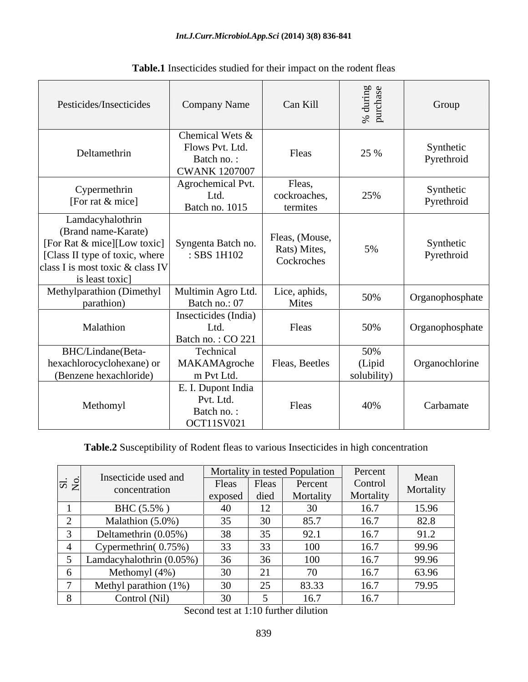| Pesticides/Insecticides                                                                                                                                         | <b>Company Name</b>                                                      | Can Kill                                     | ਰੋ ਹੋ<br>$\%$<br>트           | Group                   |
|-----------------------------------------------------------------------------------------------------------------------------------------------------------------|--------------------------------------------------------------------------|----------------------------------------------|------------------------------|-------------------------|
| Deltamethrin                                                                                                                                                    | Chemical Wets &<br>Flows Pvt. Ltd.<br>Batch no.:<br><b>CWANK 1207007</b> | Fleas                                        | 25 %                         | Synthetic<br>Pyrethroid |
| Cypermethrin<br>[For rat & mice]                                                                                                                                | Agrochemical Pvt.<br>Ltd.<br>Batch no. 1015                              | Fleas,<br>cockroaches,<br>termites           | 25%                          | Synthetic<br>Pyrethroid |
| Lamdacyhalothrin<br>(Brand name-Karate)<br>[For Rat & mice][Low toxic]<br>[Class II type of toxic, where<br>class I is most toxic & class IV<br>is least toxic] | Syngenta Batch no.<br>: SBS 1H102                                        | Fleas, (Mouse,<br>Rats) Mites,<br>Cockroches | 5%                           | Synthetic<br>Pyrethroid |
| Methylparathion (Dimethyl<br>parathion)                                                                                                                         | Multimin Agro Ltd.<br>Batch no.: 07                                      | Lice, aphids,<br>Mites                       | 50%                          | Organophosphate         |
| Malathion                                                                                                                                                       | Insecticides (India)<br>Ltd.<br>Batch no.: CO 221                        | Fleas                                        | 50%                          | Organophosphate         |
| BHC/Lindane(Beta-<br>hexachlorocyclohexane) or<br>(Benzene hexachloride)                                                                                        | Technical<br>MAKAMAgroche<br>m Pvt Ltd.                                  | Fleas, Beetles                               | 50%<br>(Lipid<br>solubility) | Organochlorine          |
| Methomyl                                                                                                                                                        | E. I. Dupont India<br>Pvt. Ltd.<br>Batch no.:<br><b>OCT11SV021</b>       | Fleas                                        | 40%                          | Carbamate               |

**Table.1** Insecticides studied for their impact on the rodent fleas

# **Table.2** Susceptibility of Rodent fleas to various Insecticides in high concentration

| li o<br>$\overline{\mathbf{z}}$ |                                       | Mortality in tested Population |                             | Percent            |           |                   |
|---------------------------------|---------------------------------------|--------------------------------|-----------------------------|--------------------|-----------|-------------------|
|                                 | Insecticide used and<br>concentration | Fleas                          | Fleas                       | Percent            | Control   | Mean<br>Mortality |
|                                 |                                       | exposed                        | died                        | Mortality          | Mortality |                   |
|                                 | BHC (5.5%)                            |                                | 12                          |                    | 16.7      | 15.96             |
|                                 | Malathion (5.0%)                      | 35                             | 30                          | 85.7               | 16.7      | 82.8              |
|                                 | Deltamethrin (0.05%)                  | 38                             | 35                          | $\Omega$ 1<br>24.1 | 16.7      | 91.2              |
|                                 | Cypermethrin(0.75%)                   | 33                             | 33                          |                    | 16.7      | 99.96             |
|                                 | Lamdacyhalothrin (0.05%)              | 36                             | 36                          | 100                | 16.7      | 99.96             |
|                                 | Methomyl (4%)                         | 30                             | $\sim$ $\sim$<br>$\angle 1$ |                    | 16.7      | 63.96             |
|                                 | Methyl parathion $(1%)$               | 30                             | 25                          | 83.33              | 16.7      | 79.95             |
|                                 | Control (Nil)                         | 30 <sup>2</sup>                |                             | 16.7               | 16.7      |                   |

Second test at 1:10 further dilution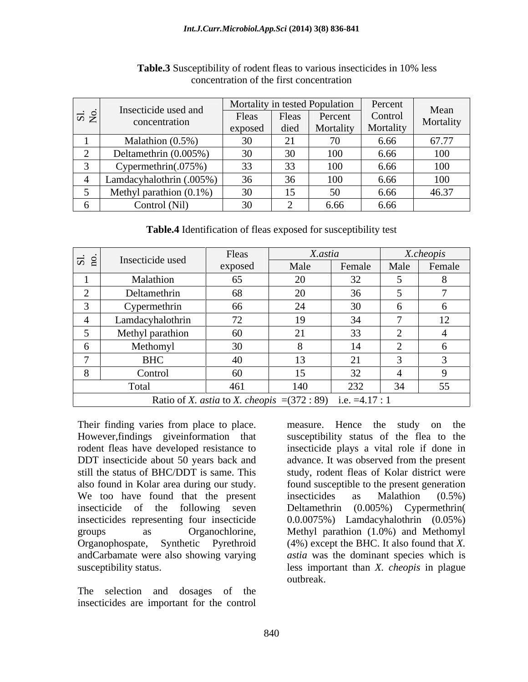| $ \vec{a} \ge$ | Insecticide used and<br>concentration | Mortality in tested Population |              |                 | Percent   | Mean      |
|----------------|---------------------------------------|--------------------------------|--------------|-----------------|-----------|-----------|
|                |                                       | Fleas                          | Fleas        | Percent         | Control   | Mortality |
|                |                                       | exposed                        | died         | Mortality       | Mortality |           |
|                | Malathion $(0.5\%)$                   | 20                             | ر پ          |                 | 6.66      | 67.77     |
|                | Deltamethrin (0.005%)                 | 20                             |              | 00              | 6.66      | 100       |
|                | Cypermethrin(.075%)                   | 33                             | $\sim$<br>55 | 00 <sub>1</sub> | 6.66      | 100       |
|                | Lamdacyhalothrin (.005%)              | 26                             | $\sim$       |                 | 6.66      | 100       |
|                | Methyl parathion $(0.1\%)$            | 2 <sub>0</sub>                 |              |                 | 6.66      | 46.37     |
|                | Control (Nil)                         |                                |              | 6.66            | 6.66      |           |

**Table.3** Susceptibility of rodent fleas to various insecticides in 10% less concentration of the first concentration

**Table.4** Identification of fleas exposed for susceptibility test

| $ \vec{a} $                                                                  | Insecticide used | Fleas   | X.astia                 |                                    | X.cheopis |        |  |
|------------------------------------------------------------------------------|------------------|---------|-------------------------|------------------------------------|-----------|--------|--|
|                                                                              |                  | exposed | Male                    | Female                             | Male      | Female |  |
|                                                                              | Malathion        | 65      | 20                      |                                    |           |        |  |
|                                                                              | Deltamethrin     | 68      | 20                      | 36                                 |           |        |  |
|                                                                              | Cypermethrin     | 66      | 24                      | 20                                 |           |        |  |
|                                                                              | Lamdacyhalothrin | 72      | 19                      | 34                                 |           | 12     |  |
|                                                                              | Methyl parathion | 60      | $\bigcap$ 1<br>$\sim$ 1 | $\Omega$<br>55                     |           |        |  |
|                                                                              | Methomyl         | 30      |                         | 14                                 |           |        |  |
|                                                                              | <b>BHC</b>       | 40      |                         | $\sim$<br>$\overline{\phantom{a}}$ |           |        |  |
|                                                                              | Control          | 60      | 15                      | $\Omega$                           |           |        |  |
|                                                                              | Total            | 461     | 140                     | 232                                | 34        | 55     |  |
| Ratio of <i>X. astia</i> to <i>X. cheopis</i> = $(372 : 89)$ i.e. = 4.17 : 1 |                  |         |                         |                                    |           |        |  |

also found in Kolar area during our study. We too have found that the present insecticides as Malathion (0.5%) insecticides representing four insecticide andCarbamate were also showing varying

The selection and dosages of the insecticides are important for the control

Their finding varies from place to place. In measure. Hence the study on the However,findings giveinformation that susceptibility status of the flea to the rodent fleas have developed resistance to insecticide plays a vital role if done in DDT insecticide about 50 years back and advance. It was observed from the present still the status of BHC/DDT is same. This study, rodent fleas of Kolar district were insecticide of the following seven Deltamethrin (0.005%) Cypermethrin( groups as Organochlorine, Methyl parathion (1.0%) and Methomyl Organophospate, Synthetic Pyrethroid (4%) except the BHC. It also found that *X.*  susceptibility status. less important than *X. cheopis* in plague measure. Hence the study on the found susceptible to the present generation insecticides as Malathion (0.5%) 0.0.0075%) Lamdacyhalothrin (0.05%) *astia* was the dominant species which is outbreak.